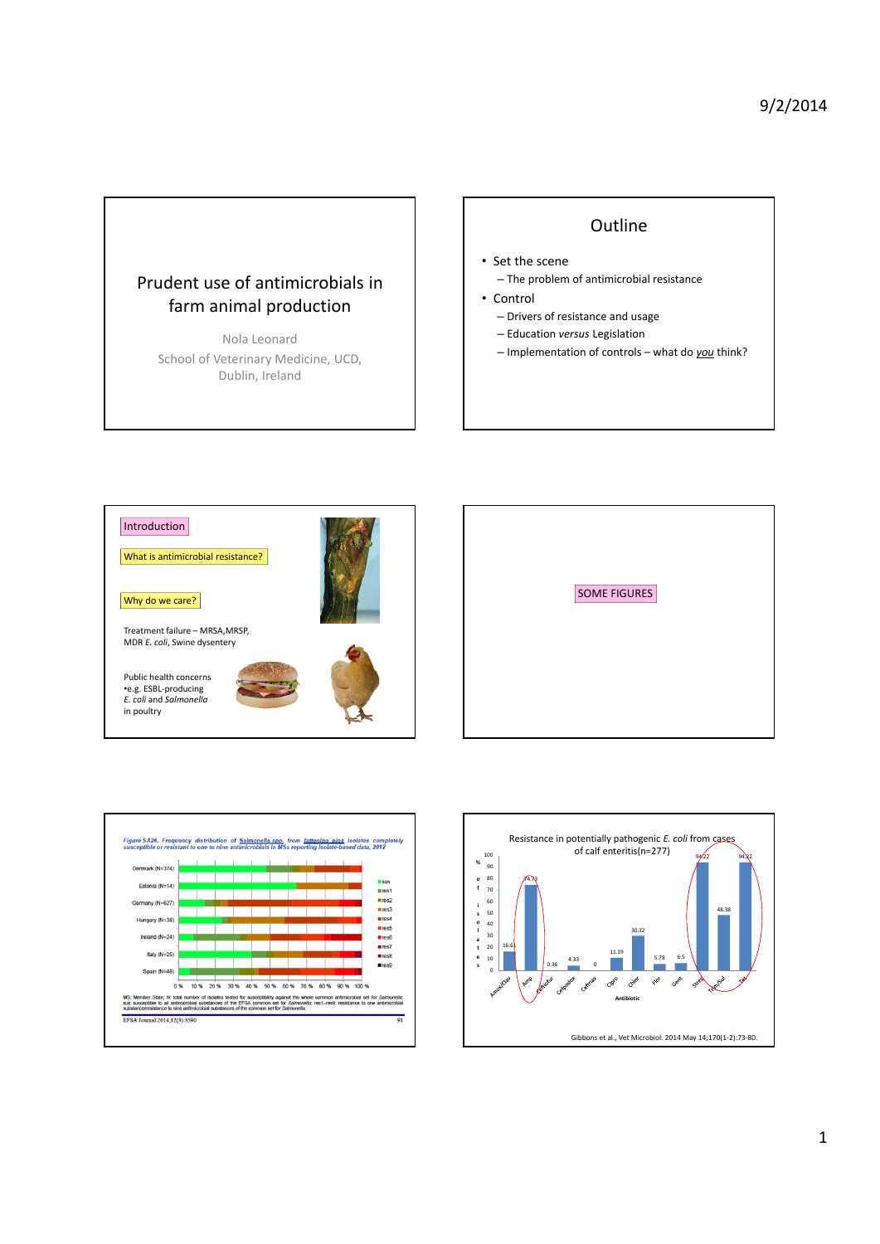# Prudent use of antimicrobials in farm animal production

Nola Leonard School of Veterinary Medicine, UCD, Dublin, Ireland

# **Outline**

## • Set the scene

- The problem of antimicrobial resistance
- Control
	- Drivers of resistance and usage
	- Education *versus* Legislation
- Implementation of controls what do *you* think?







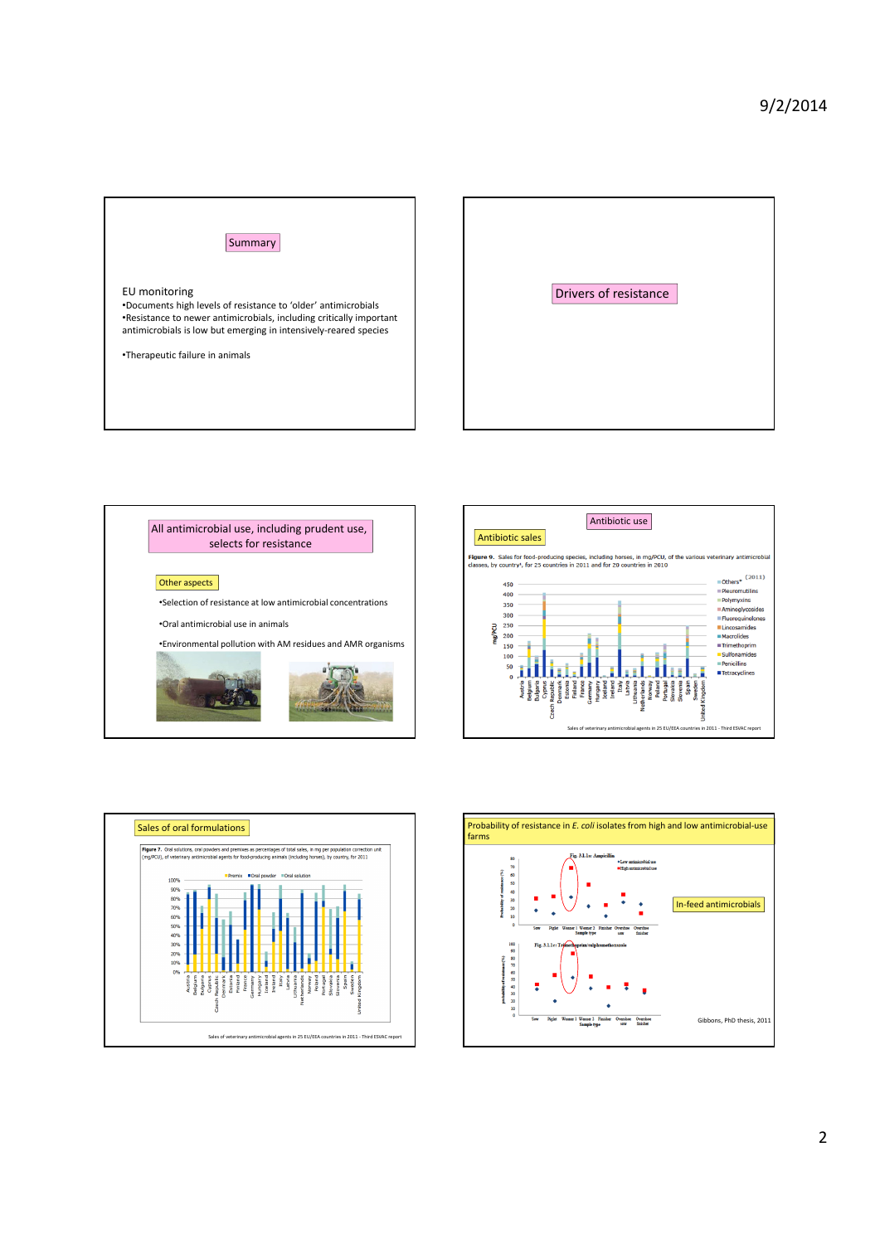







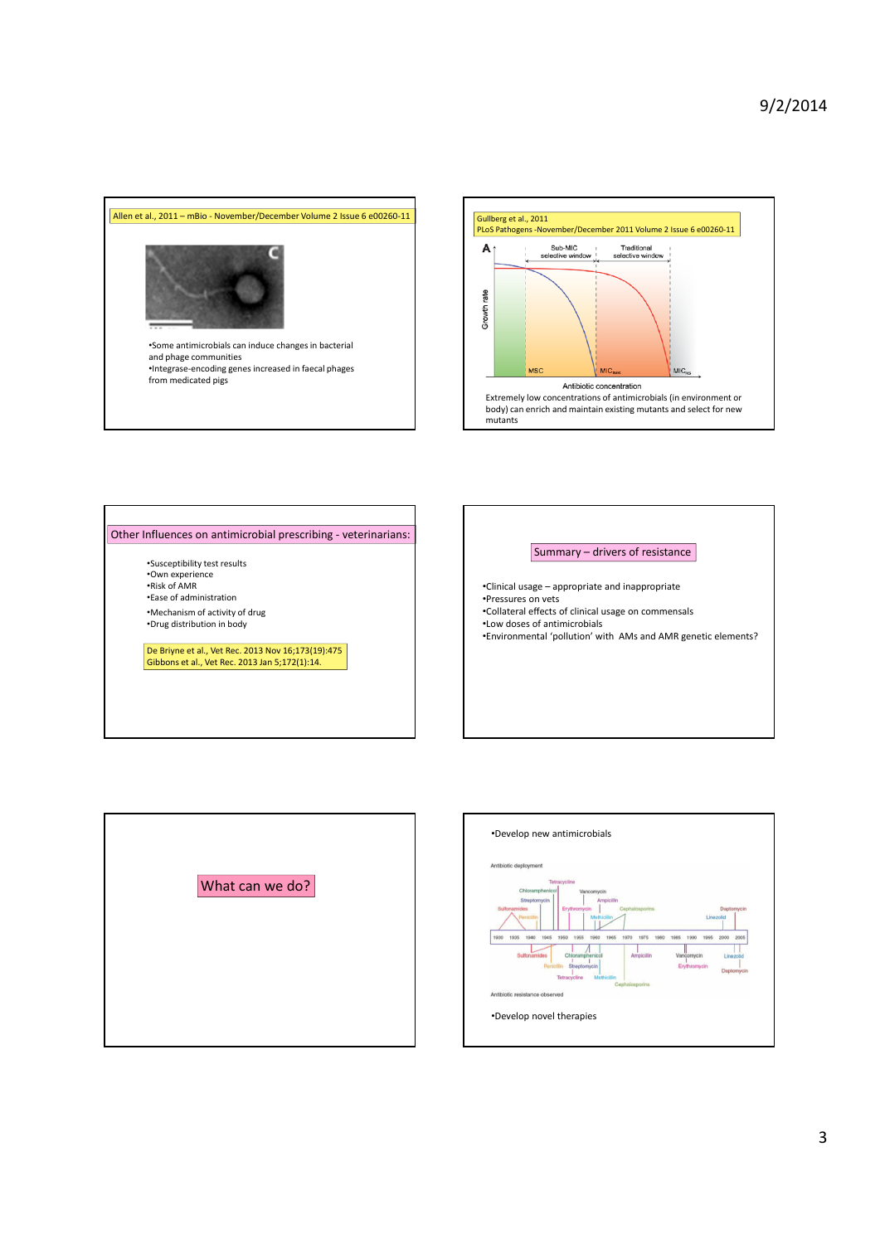



#### Other Influences on antimicrobial prescribing ‐ veterinarians:

•Susceptibility test results •Own experience •Risk of AMR •Ease of administration •Mechanism of activity of drug

•Drug distribution in body

De Briyne et al., Vet Rec. 2013 Nov 16;173(19):475 Gibbons et al., Vet Rec. 2013 Jan 5;172(1):14.

### Summary – drivers of resistance

•Clinical usage – appropriate and inappropriate

•Pressures on vets

•Collateral effects of clinical usage on commensals

•Low doses of antimicrobials

•Environmental 'pollution' with AMs and AMR genetic elements?



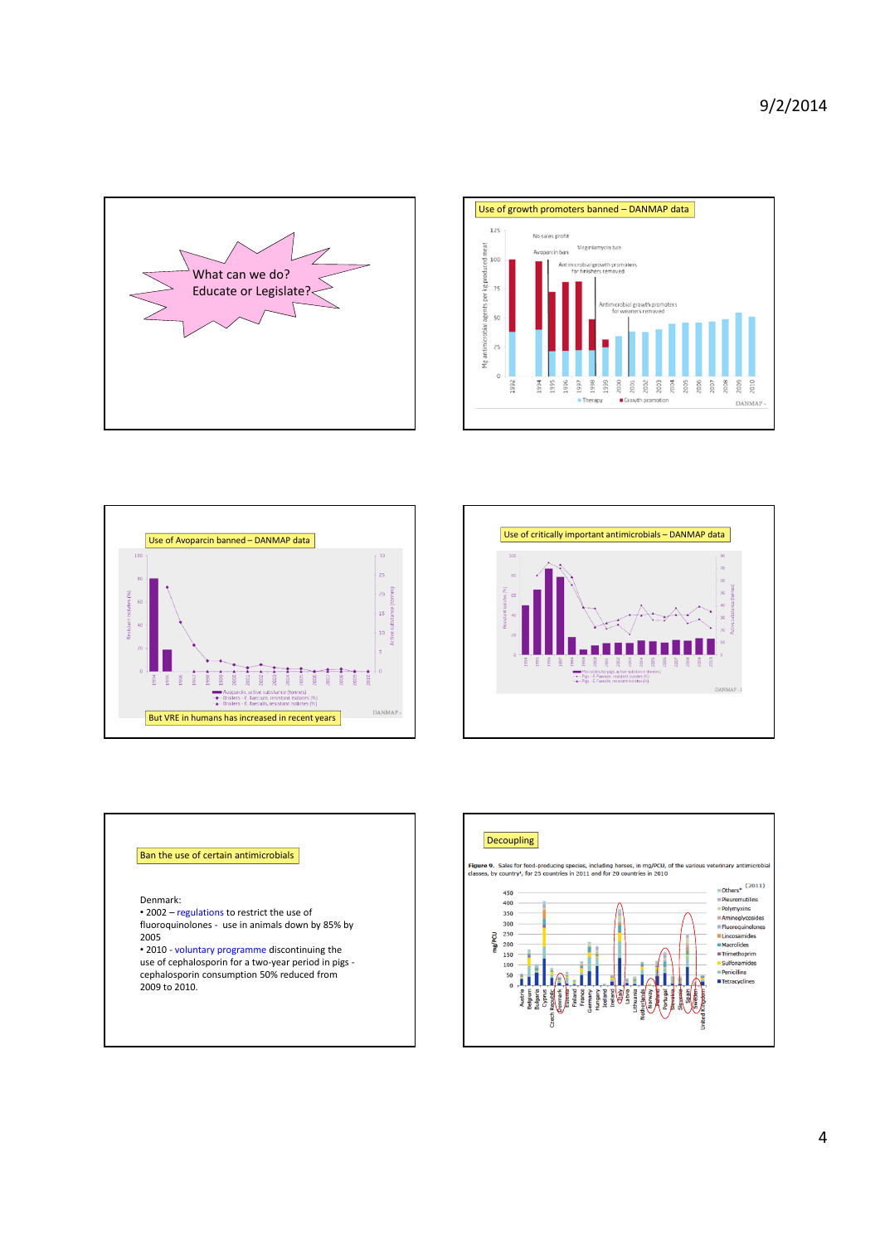









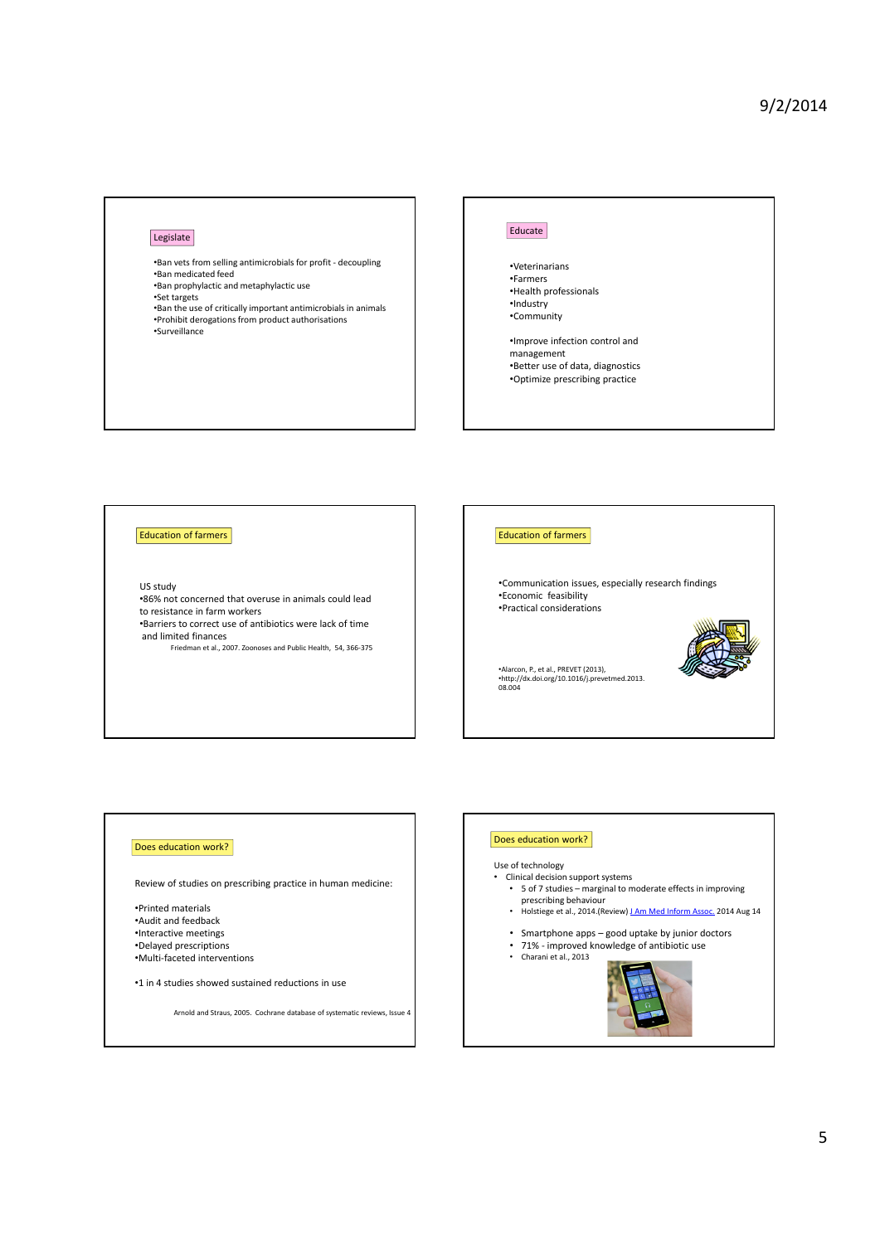### Legislate

•Ban vets from selling antimicrobials for profit ‐ decoupling •Ban medicated feed

•Ban prophylactic and metaphylactic use

•Set targets •Ban the use of critically important antimicrobialsin animals •Prohibit derogations from product authorisations •Surveillance

#### Educate

•Veterinarians •Farmers •Health professionals •Industry •Community

•Improve infection control and management

- •Better use of data, diagnostics
- •Optimize prescribing practice

#### Education of farmers

US study

•86% not concerned that overuse in animals could lead to resistance in farm workers

•Barriers to correct use of antibiotics were lack of time and limited finances<br>Friedman et al., 2007. Zoonoses and Public Health, 54, 366-375

#### Education of farmers

•Communication issues, especially research findings •Economic feasibility •Practical considerations

•Alarcon, P., et al., PREVET (2013), •http://dx.doi.org/10.1016/j.prevetmed.2013. 08.004



Arnold and Straus, 2005. Cochrane database of systematic reviews, Issue 4

## Does education work?

#### Use of technology

- 
- Clinical decision support systems 5 of 7 studies marginal to moderate effects in improving prescribing behaviour
	- Holstiege et al., 2014.(Review) **J Am Med Inform Assoc.** 2014 Aug 14
	-
	- Smartphone apps good uptake by junior doctors<br>• 71% improved knowledge of antibiotic use<br>• Charasiet al. 2013 71% - improved knowledge of antibiotic use
		- Charani et al., 2013